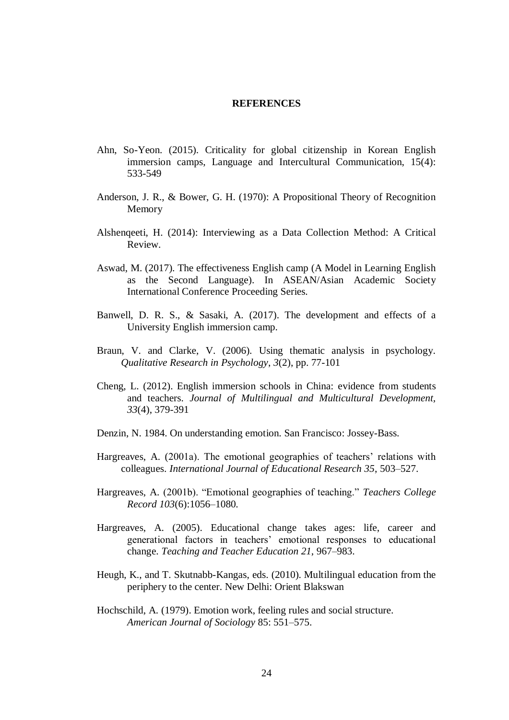## **REFERENCES**

- Ahn, So-Yeon. (2015). Criticality for global citizenship in Korean English immersion camps, Language and Intercultural Communication, 15(4): 533-549
- Anderson, J. R., & Bower, G. H. (1970): A Propositional Theory of Recognition Memory
- Alshenqeeti, H. (2014): Interviewing as a Data Collection Method: A Critical Review.
- Aswad, M. (2017). The effectiveness English camp (A Model in Learning English as the Second Language). In ASEAN/Asian Academic Society International Conference Proceeding Series.
- Banwell, D. R. S., & Sasaki, A. (2017). The development and effects of a University English immersion camp.
- Braun, V. and Clarke, V. (2006). Using thematic analysis in psychology. *Qualitative Research in Psychology*, *3*(2), pp. 77-101
- Cheng, L. (2012). English immersion schools in China: evidence from students and teachers. *Journal of Multilingual and Multicultural Development, 33*(4), 379-391
- Denzin, N. 1984. On understanding emotion. San Francisco: Jossey-Bass.
- Hargreaves, A. (2001a). The emotional geographies of teachers' relations with colleagues. *International Journal of Educational Research 35*, 503–527.
- Hargreaves, A. (2001b). "Emotional geographies of teaching." *Teachers College Record 103*(6):1056–1080.
- Hargreaves, A. (2005). Educational change takes ages: life, career and generational factors in teachers' emotional responses to educational change. *Teaching and Teacher Education 21*, 967–983.
- Heugh, K., and T. Skutnabb-Kangas, eds. (2010). Multilingual education from the periphery to the center. New Delhi: Orient Blakswan
- Hochschild, A. (1979). Emotion work, feeling rules and social structure. *American Journal of Sociology* 85: 551–575.